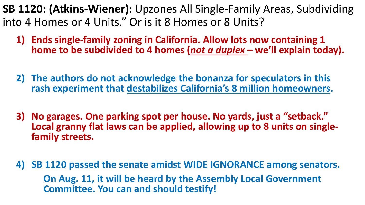**SB 1120: (Atkins-Wiener):** Upzones All Single-Family Areas, Subdividing into 4 Homes or 4 Units." Or is it 8 Homes or 8 Units?

- **1) Ends single-family zoning in California. Allow lots now containing 1 home to be subdivided to 4 homes (***not a duplex* **– we'll explain today).**
- **2) The authors do not acknowledge the bonanza for speculators in this rash experiment that destabilizes California's 8 million homeowners.**
- **3) No garages. One parking spot per house. No yards, just a "setback." Local granny flat laws can be applied, allowing up to 8 units on single- family streets.**
- **4) SB 1120 passed the senate amidst WIDE IGNORANCE among senators. On Aug. 11, it will be heard by the Assembly Local Government Committee. You can and should testify!**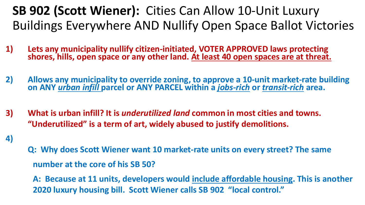## **SB 902 (Scott Wiener):** Cities Can Allow 10-Unit Luxury Buildings Everywhere AND Nullify Open Space Ballot Victories

- **1) Lets any municipality nullify citizen-initiated, VOTER APPROVED laws protecting shores, hills, open space or any other land. At least 40 open spaces are at threat.**
- **2) Allows any municipality to override zoning, to approve a 10-unit market-rate building on ANY** *urban infill* **parcel or ANY PARCEL within a** *jobs-rich* **or** *transit-rich* **area.**
- **3) What is urban infill? It is** *underutilized land* **common in most cities and towns. "Underutilized" is a term of art, widely abused to justify demolitions.**
- **4)**
- **Q: Why does Scott Wiener want 10 market-rate units on every street? The same number at the core of his SB 50?**

**A: Because at 11 units, developers would include affordable housing. This is another 2020 luxury housing bill. Scott Wiener calls SB 902 "local control."**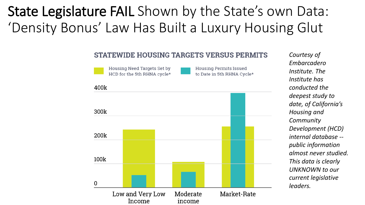# State Legislature FAIL Shown by the State's own Data: 'Density Bonus' Law Has Built a Luxury Housing Glut

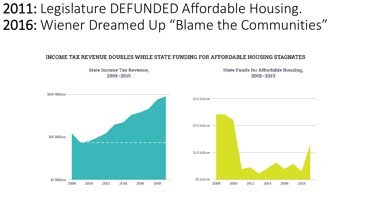# 2011: Legislature DEFUNDED Affordable Housing. 2016: Wiener Dreamed Up "Blame the Communities"

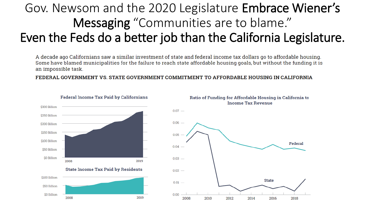# Gov. Newsom and the 2020 Legislature Embrace Wiener's Messaging "Communities are to blame." Even the Feds do a better job than the California Legislature.

A decade ago Californians saw a similar investment of state and federal income tax dollars go to affordable housing. Some have blamed municipalities for the failure to reach state affordable housing goals, but without the funding it is an impossible task.

FEDERAL GOVERNMENT VS. STATE GOVERNMENT COMMITMENT TO AFFORDABLE HOUSING IN CALIFORNIA





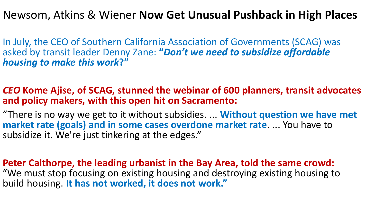### Newsom, Atkins & Wiener **Now Get Unusual Pushback in High Places**

In July, the CEO of Southern California Association of Governments (SCAG) was asked by transit leader Denny Zane: **"***Don't we need to subsidize affordable housing to make this work***?"**

#### *CEO* **Kome Ajise, of SCAG, stunned the webinar of 600 planners, transit advocates and policy makers, with this open hit on Sacramento:**

"There is no way we get to it without subsidies. ... **Without question we have met market rate (goals) and in some cases overdone market rate**. ... You have to subsidize it. We're just tinkering at the edges."

**Peter Calthorpe, the leading urbanist in the Bay Area, told the same crowd:** "We must stop focusing on existing housing and destroying existing housing to build housing. **It has not worked, it does not work."**